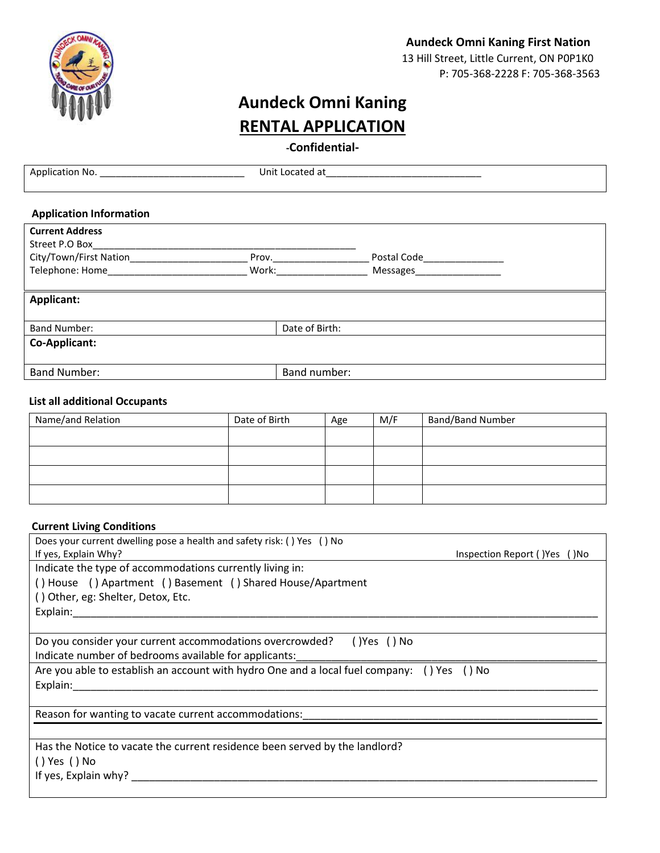

# **Aundeck Omni Kaning First Nation** 13 Hill Street, Little Current, ON P0P1K0 P: 705-368-2228 F: 705-368-3563

# **Aundeck Omni Kaning RENTAL APPLICATION**

**-Confidential-**

| Application No.                | Unit Located at |           |
|--------------------------------|-----------------|-----------|
|                                |                 |           |
| <b>Application Information</b> |                 |           |
| <b>Current Address</b>         |                 |           |
| Street P.O Box                 |                 |           |
| City/Town/First Nation         | Prov.           |           |
| Telephone: Home                | Work:           | Messages_ |
|                                |                 |           |
| <b>Applicant:</b>              |                 |           |
|                                |                 |           |
| <b>Band Number:</b>            | Date of Birth:  |           |
| <b>Co-Applicant:</b>           |                 |           |

## **List all additional Occupants**

Band Number: and Sumber: and Sumber: and Sumber: and Sumber: and Sumber: and Sumber: and Sumber: and Sumber: and Sumber: and Sumber: and Sumber: and Sumber: and Sumber: and Sumber: and Sumber: and Sumber: and Sumber: and S

| Name/and Relation | Date of Birth | Age | M/F | <b>Band/Band Number</b> |
|-------------------|---------------|-----|-----|-------------------------|
|                   |               |     |     |                         |
|                   |               |     |     |                         |
|                   |               |     |     |                         |
|                   |               |     |     |                         |

#### **Current Living Conditions**

| Does your current dwelling pose a health and safety risk: () Yes () No                     |  |  |  |  |
|--------------------------------------------------------------------------------------------|--|--|--|--|
| If yes, Explain Why?<br>Inspection Report () Yes () No                                     |  |  |  |  |
| Indicate the type of accommodations currently living in:                                   |  |  |  |  |
| () House () Apartment () Basement () Shared House/Apartment                                |  |  |  |  |
| () Other, eg: Shelter, Detox, Etc.                                                         |  |  |  |  |
| Explain:                                                                                   |  |  |  |  |
|                                                                                            |  |  |  |  |
| Do you consider your current accommodations overcrowded?<br>()Yes () No                    |  |  |  |  |
| Indicate number of bedrooms available for applicants:                                      |  |  |  |  |
| Are you able to establish an account with hydro One and a local fuel company: () Yes () No |  |  |  |  |
| Explain:                                                                                   |  |  |  |  |
|                                                                                            |  |  |  |  |
| Reason for wanting to vacate current accommodations:                                       |  |  |  |  |
|                                                                                            |  |  |  |  |
| Has the Notice to vacate the current residence been served by the landlord?                |  |  |  |  |
| () Yes () No                                                                               |  |  |  |  |
| If yes, Explain why?                                                                       |  |  |  |  |
|                                                                                            |  |  |  |  |
|                                                                                            |  |  |  |  |